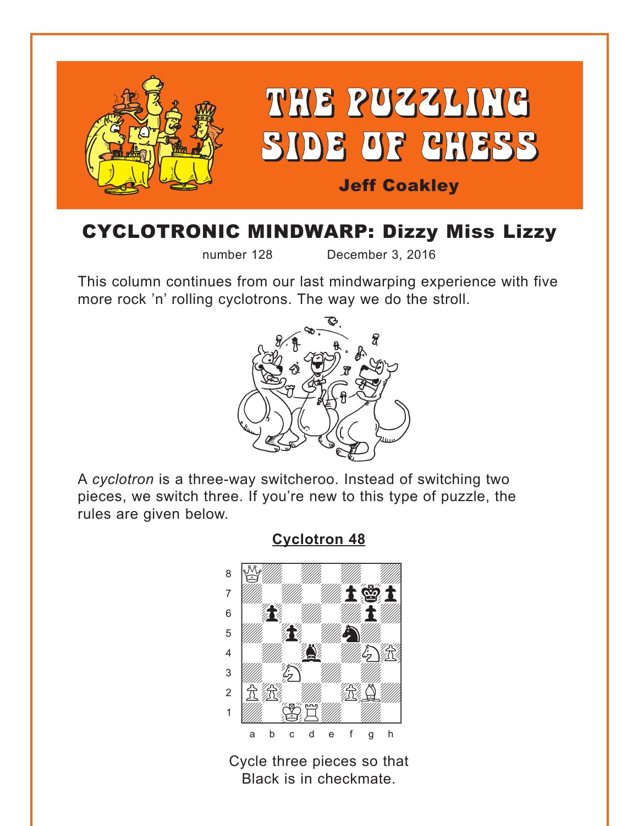<span id="page-0-0"></span>

# CYCLOTRONIC MINDWARP: Dizzy Miss Lizzy

number 128 December 3, 2016

This column continues from our last mindwarping experience with five more rock 'n' rolling cyclotrons. The way we do the stroll.



A *cyclotron* is a three-way switcheroo. Instead of switching two pieces, we switch three. If you're new to this type of puzzle, the rules are given below.

> where  $\frac{1}{2}$  we have the set of  $\frac{1}{2}$ a Night May May 1993 t *with the with the cont*  $\begin{array}{ccc} \circ & \bullet & \bullet & \bullet \end{array}$  $\mathbf{E} = \mathbf{E}$ ÝwdwgwdN)]  $\frac{1}{2}$ 2 | 贠 綬  $\frac{1}{\sqrt{2}}\left(\frac{1}{\sqrt{2}}\right)^{2}\left(\frac{1}{\sqrt{2}}\right)^{2}$ a b c d e f g h

**[Cyclotron 48](#page-4-0)**

Cycle three pieces so that Black is in checkmate.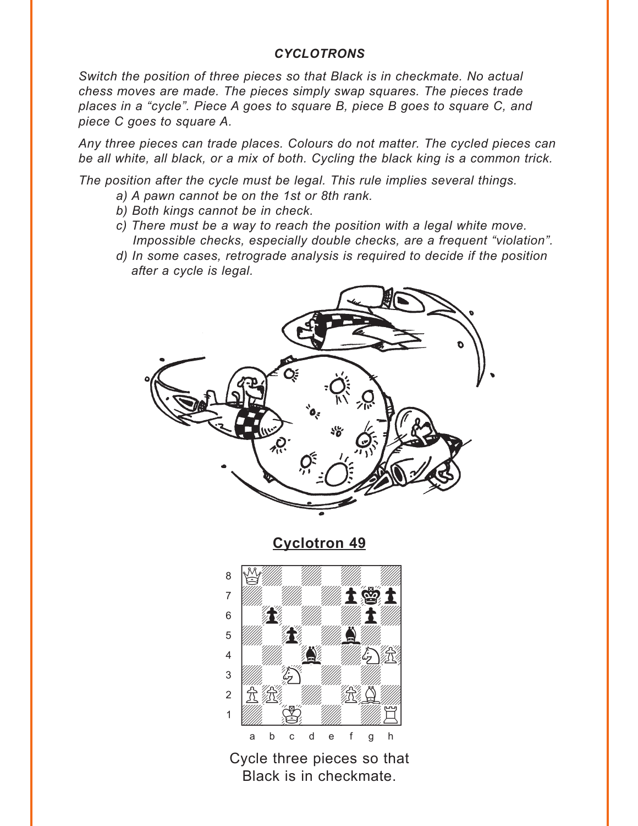#### *CYCLOTRONS*

<span id="page-1-0"></span>*Switch the position of three pieces so that Black is in checkmate. No actual chess moves are made. The pieces simply swap squares. The pieces trade places in a "cycle". Piece A goes to square B, piece B goes to square C, and piece C goes to square A.* 

*Any three pieces can trade places. Colours do not matter. The cycled pieces can be all white, all black, or a mix of both. Cycling the black king is a common trick.* 

*The position after the cycle must be legal. This rule implies several things.* 

- *a) A pawn cannot be on the 1st or 8th rank.*
- *b) Both kings cannot be in check.*
- *c) There must be a way to reach the position with a legal white move. Impossible checks, especially double checks, are a frequent "violation".*
- *d) In some cases, retrograde analysis is required to decide if the position after a cycle is legal.*



**[Cyclotron 49](#page-5-0)**



Cycle three pieces so that Black is in checkmate.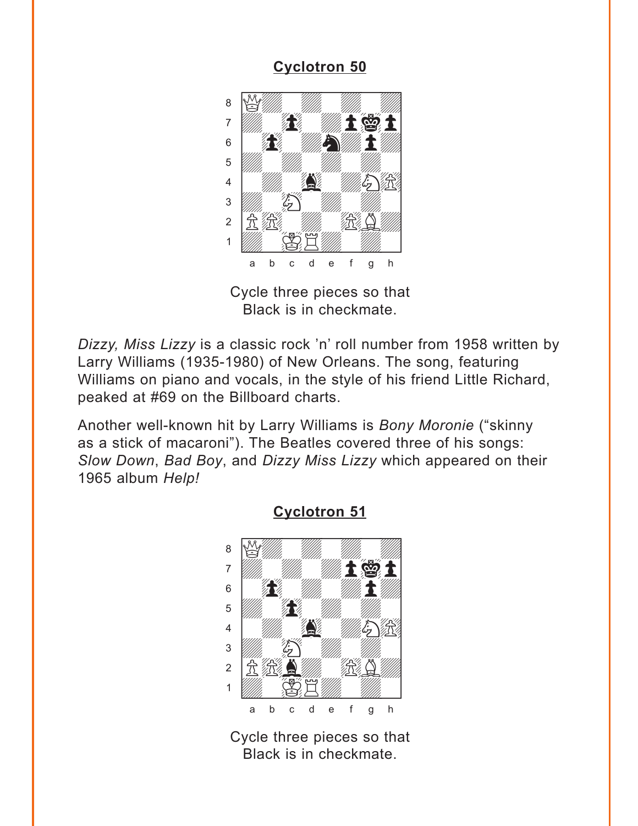<span id="page-2-0"></span>

Cycle three pieces so that Black is in checkmate.

*Dizzy, Miss Lizzy* is a classic rock 'n' roll number from 1958 written by Larry Williams (1935-1980) of New Orleans. The song, featuring Williams on piano and vocals, in the style of his friend Little Richard, peaked at #69 on the Billboard charts.

Another well-known hit by Larry Williams is *Bony Moronie* ("skinny as a stick of macaroni"). The Beatles covered three of his songs: *Slow Down*, *Bad Boy*, and *Dizzy Miss Lizzy* which appeared on their 1965 album *Help!*



**[Cyclotron 51](#page-6-0)**

Cycle three pieces so that Black is in checkmate.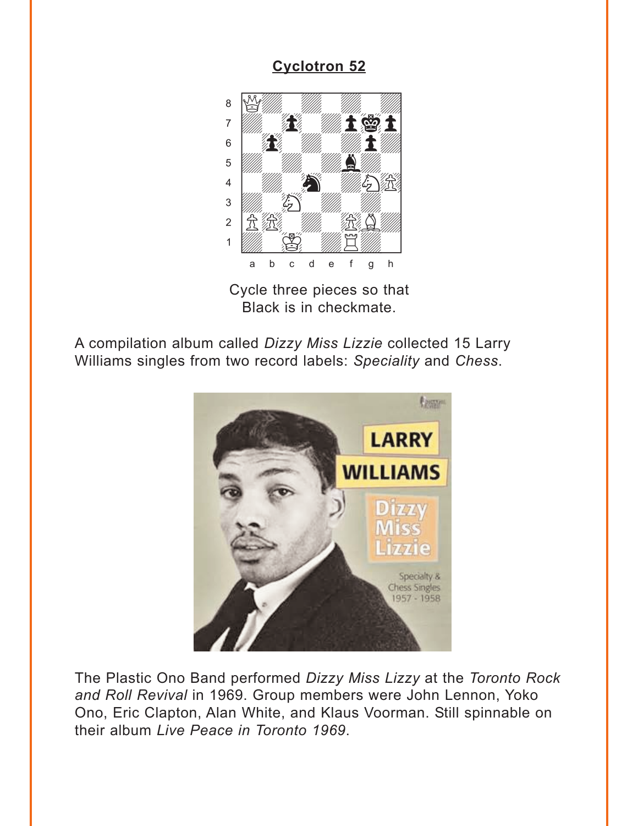<span id="page-3-0"></span>

Cycle three pieces so that Black is in checkmate.

A compilation album called *Dizzy Miss Lizzie* collected 15 Larry Williams singles from two record labels: *Speciality* and *Chess*.



The Plastic Ono Band performed *Dizzy Miss Lizzy* at the *Toronto Rock and Roll Revival* in 1969. Group members were John Lennon, Yoko Ono, Eric Clapton, Alan White, and Klaus Voorman. Still spinnable on their album *Live Peace in Toronto 1969*.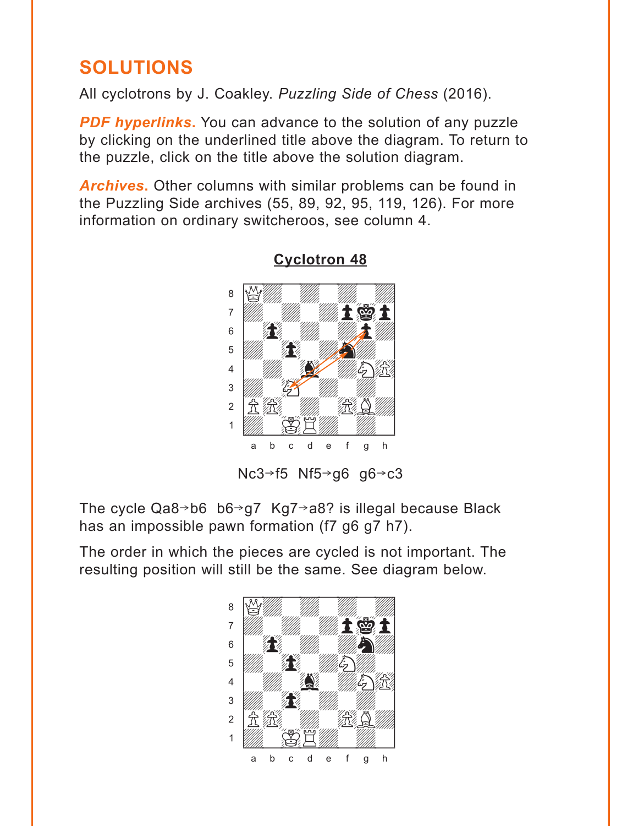## <span id="page-4-0"></span>**SOLUTIONS**

All cyclotrons by J. Coakley. *Puzzling Side of Chess* (2016).

**PDF hyperlinks.** You can advance to the solution of any puzzle by clicking on the underlined title above the diagram. To return to the puzzle, click on the title above the solution diagram.

*Archives***.** Other columns with similar problems can be found in the Puzzling Side archives (55, 89, 92, 95, 119, 126). For more information on ordinary switcheroos, see column 4.



#### **[Cyclotron 48](#page-0-0)**

Nc3 $\rightarrow$ f5 Nf5 $\rightarrow$ g6 g6 $\rightarrow$ c3

The cycle  $Qa8 \rightarrow b6$  b6 $\rightarrow q7$  Kg7 $\rightarrow a8$ ? is illegal because Black has an impossible pawn formation (f7 g6 g7 h7).

The order in which the pieces are cycled is not important. The resulting position will still be the same. See diagram below.

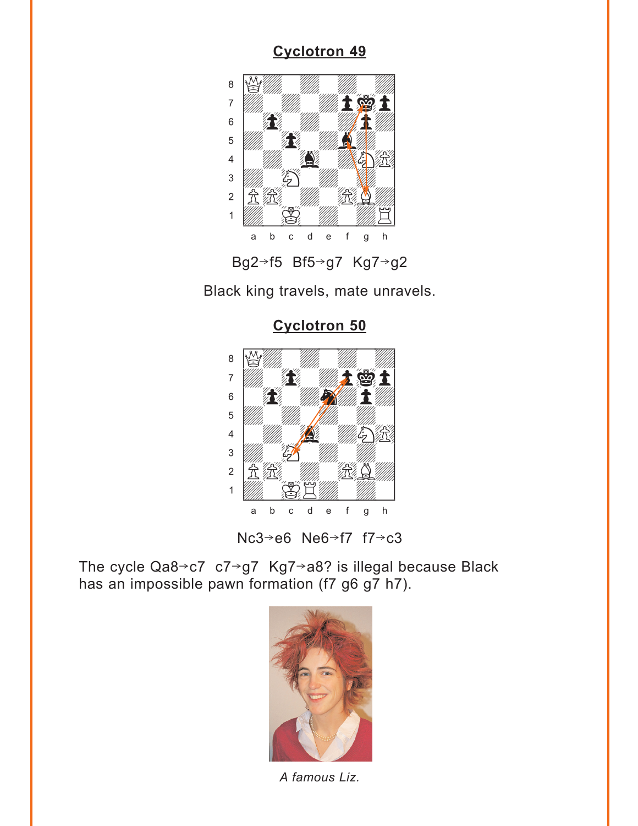<span id="page-5-0"></span>



Black king travels, mate unravels.

**[Cyclotron 50](#page-2-0)**



Nc3 $\rightarrow$ e6 Ne6 $\rightarrow$ f7 f7 $\rightarrow$ c3

The cycle Qa8 $\rightarrow$ c7 c7 $\rightarrow$ g7 Kg7 $\rightarrow$ a8? is illegal because Black has an impossible pawn formation (f7 g6 g7 h7).



*A famous Liz.*